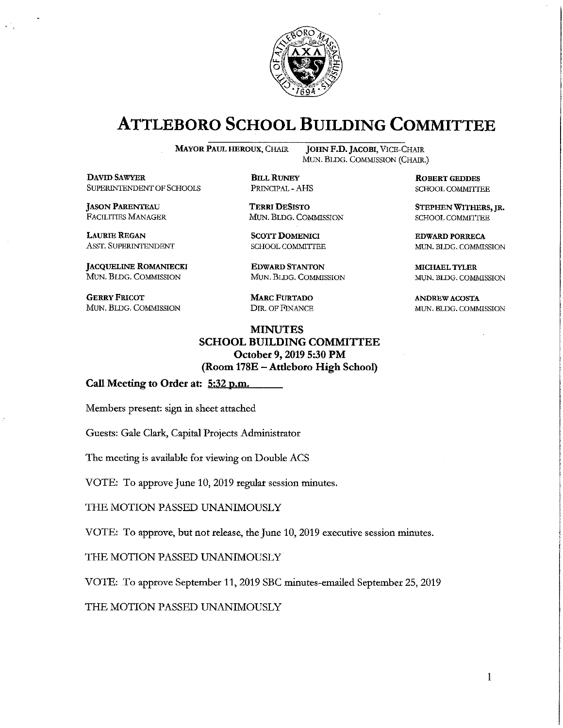

# **ATTLEBORO SCHOOL BUILDING COMMITTEE**

**MAYOR PAUL HEROUX, CHAIR** 

**DAVID SAWYER** SUPERINTENDENT OF SCHOOLS

**JASON PARENTEAU** FACILITIES MANAGER

**LAURIE REGAN** ASST. SUPERINTENDENT

**JACQUELINE ROMANIECKI** MUN. BLDG. COMMISSION

**GERRY FRICOT** MUN. BLDG. COMMISSION

**JOHN F.D. JACOBI, VICE-CHAIR** MUN. BLDG. COMMISSION (CHAIR.)

> **ROBERT GEDDES** SCHOOL COMMITTEE

STEPHEN WITHERS, JR. SCHOOL COMMITTEE

**EDWARD PORRECA** MUN. BLDG. COMMISSION

**MICHAEL TYLER** MUN. BLDG. COMMISSION

**ANDREW ACOSTA** MUN. BLDG. COMMISSION

**DIR. OF FINANCE MINUTES** 

**MARC FURTADO** 

**BILL RUNEY** 

PRINCIPAL - AHS

**TERRI DESISTO** 

**SCOTT DOMENICI** 

SCHOOL COMMITTEE

**EDWARD STANTON** 

MUN. BLDG. COMMISSION

MUN. BLDG. COMMISSION

**SCHOOL BUILDING COMMITTEE** October 9, 2019 5:30 PM (Room 178E – Attleboro High School)

Call Meeting to Order at: 5:32 p.m.

Members present: sign in sheet attached

Guests: Gale Clark, Capital Projects Administrator

The meeting is available for viewing on Double ACS

VOTE: To approve June 10, 2019 regular session minutes.

THE MOTION PASSED UNANIMOUSLY

VOTE: To approve, but not release, the June 10, 2019 executive session minutes.

THE MOTION PASSED UNANIMOUSLY

VOTE: To approve September 11, 2019 SBC minutes-emailed September 25, 2019

THE MOTION PASSED UNANIMOUSLY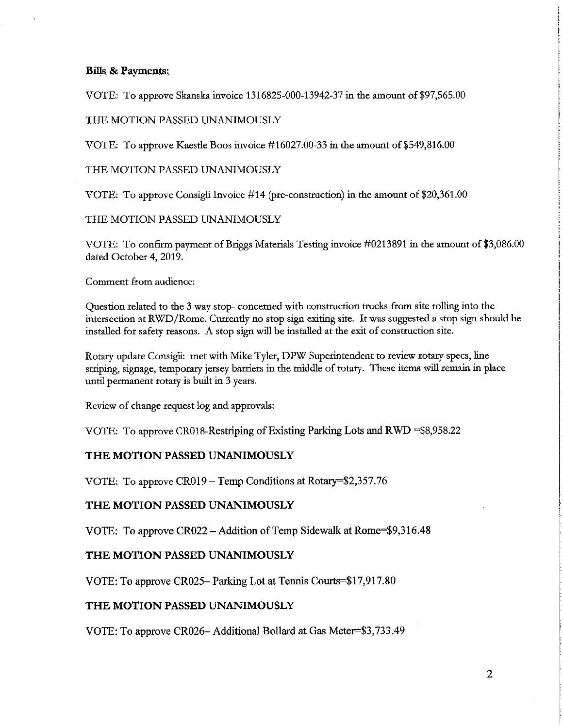# **Bills & Payments:**

VOTE: To approve Skanska invoice 1316825-000-13942-37 in the amount of \$97,565.00

## THE MOTION PASSED UNANIMOUSLY

VOTE: To approve Kaestle Boos invoice #16027.00-33 in the amount of \$549,816.00

THE MOTION PASSED UNANIMOUSLY

VOTE: To approve Consigli Invoice #14 (pre-construction) in the amount of \$20,361.00

THE MOTION PASSED UNANIMOUSLY

VOTE: To confirm payment of Briggs Materials Testing invoice #0213891 in the amount of \$3,086.00 dated October 4, 2019.

Comment from audience:

Question related to the 3 way stop-concerned with construction trucks from site rolling into the intersection at RWD/Rome. Currently no stop sign exiting site. It was suggested a stop sign should be installed for safety reasons. A stop sign will be installed at the exit of construction site.

Rotary update Consigli: met with Mike Tyler, DPW Superintendent to review rotary specs, line striping, signage, temporary jersey barriers in the middle of rotary. These items will remain in place until permanent rotary is built in 3 years.

Review of change request log and approvals:

VOTE: To approve CR018-Restriping of Existing Parking Lots and RWD =\$8,958.22

# THE MOTION PASSED UNANIMOUSLY

VOTE: To approve CR019 – Temp Conditions at Rotary=\$2,357.76

# THE MOTION PASSED UNANIMOUSLY

VOTE: To approve CR022 - Addition of Temp Sidewalk at Rome=\$9,316.48

# THE MOTION PASSED UNANIMOUSLY

VOTE: To approve CR025– Parking Lot at Tennis Courts=\$17,917.80

# THE MOTION PASSED UNANIMOUSLY

VOTE: To approve CR026- Additional Bollard at Gas Meter=\$3,733.49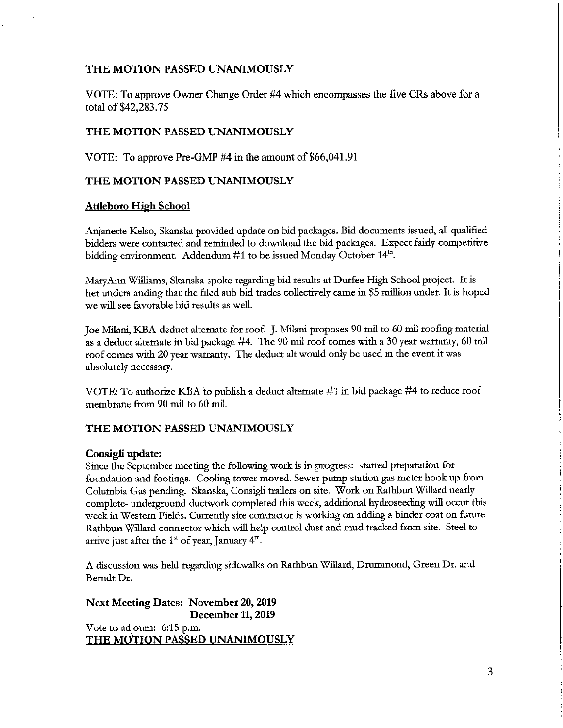### THE MOTION PASSED UNANIMOUSLY

VOTE: To approve Owner Change Order #4 which encompasses the five CRs above for a total of \$42,283.75

#### THE MOTION PASSED UNANIMOUSLY

VOTE: To approve Pre-GMP #4 in the amount of \$66,041.91

#### THE MOTION PASSED UNANIMOUSLY

#### **Attleboro High School**

Anjanette Kelso, Skanska provided update on bid packages. Bid documents issued, all qualified bidders were contacted and reminded to download the bid packages. Expect fairly competitive bidding environment. Addendum #1 to be issued Monday October 14<sup>th</sup>.

MaryAnn Williams, Skanska spoke regarding bid results at Durfee High School project. It is her understanding that the filed sub bid trades collectively came in \$5 million under. It is hoped we will see favorable bid results as well.

Joe Milani, KBA-deduct alternate for roof. J. Milani proposes 90 mil to 60 mil roofing material as a deduct alternate in bid package #4. The 90 mil roof comes with a 30 year warranty, 60 mil roof comes with 20 year warranty. The deduct alt would only be used in the event it was absolutely necessary.

VOTE: To authorize KBA to publish a deduct alternate #1 in bid package #4 to reduce roof membrane from 90 mil to 60 mil.

#### THE MOTION PASSED UNANIMOUSLY

#### Consigli update:

Since the September meeting the following work is in progress: started preparation for foundation and footings. Cooling tower moved. Sewer pump station gas meter hook up from Columbia Gas pending. Skanska, Consigli trailers on site. Work on Rathbun Willard nearly complete- underground ductwork completed this week, additional hydroseeding will occur this week in Western Fields. Currently site contractor is working on adding a binder coat on future Rathbun Willard connector which will help control dust and mud tracked from site. Steel to arrive just after the  $1<sup>st</sup>$  of year, January  $4<sup>th</sup>$ .

A discussion was held regarding sidewalks on Rathbun Willard, Drummond, Green Dr. and Berndt Dr.

**Next Meeting Dates: November 20, 2019** December 11, 2019 Vote to adjourn: 6:15 p.m. THE MOTION PASSED UNANIMOUSLY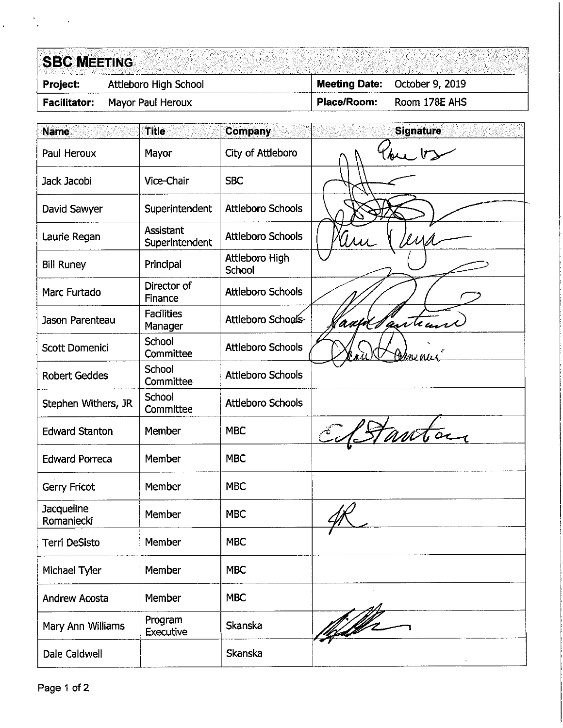# **SBC MEETING**

| <b>Project:</b> |  |  |
|-----------------|--|--|
|                 |  |  |

Attleboro High School **Facilitator:** Mayor Paul Heroux

**Meeting Date:** October 9, 2019 Place/Room: Room 178E AHS

| <b>Name</b>                     | <b>Title</b>                       | <b>Company</b>           | <b>Signature</b> |
|---------------------------------|------------------------------------|--------------------------|------------------|
| Paul Heroux                     | Mayor                              | City of Attleboro        | $\mathsf{U}$     |
| Jack Jacobi                     | Vice-Chair                         | <b>SBC</b>               |                  |
| David Sawyer                    | Superintendent                     | <b>Attleboro Schools</b> |                  |
| Laurie Regan                    | <b>Assistant</b><br>Superintendent | <b>Attleboro Schools</b> | $\mathcal{U}$    |
| <b>Bill Runey</b>               | Principal                          | Attleboro High<br>School |                  |
| Marc Furtado                    | Director of<br>Finance             | <b>Attleboro Schools</b> |                  |
| Jason Parenteau                 | <b>Facilities</b><br>Manager       | Attleboro Schools        | addlanteun       |
| Scott Domenici                  | School<br>Committee                | <b>Attleboro Schools</b> | <u>Helmenue</u>  |
| <b>Robert Geddes</b>            | School<br>Committee                | <b>Attleboro Schools</b> |                  |
| Stephen Withers, JR             | School<br>Committee                | <b>Attleboro Schools</b> |                  |
| <b>Edward Stanton</b>           | Member                             | <b>MBC</b>               |                  |
| <b>Edward Porreca</b>           | Member                             | <b>MBC</b>               |                  |
| Gerry Fricot                    | Member                             | <b>MBC</b>               |                  |
| <b>Jacqueline</b><br>Romaniecki | Member                             | <b>MBC</b>               |                  |
| Terri DeSisto                   | Member                             | <b>MBC</b>               |                  |
| Michael Tyler                   | Member                             | <b>MBC</b>               |                  |
| <b>Andrew Acosta</b>            | Member                             | <b>MBC</b>               |                  |
| Mary Ann Williams               | Program<br><b>Executive</b>        | Skanska                  | <u> 1679</u>     |
| Dale Caldwell                   |                                    | Skanska                  |                  |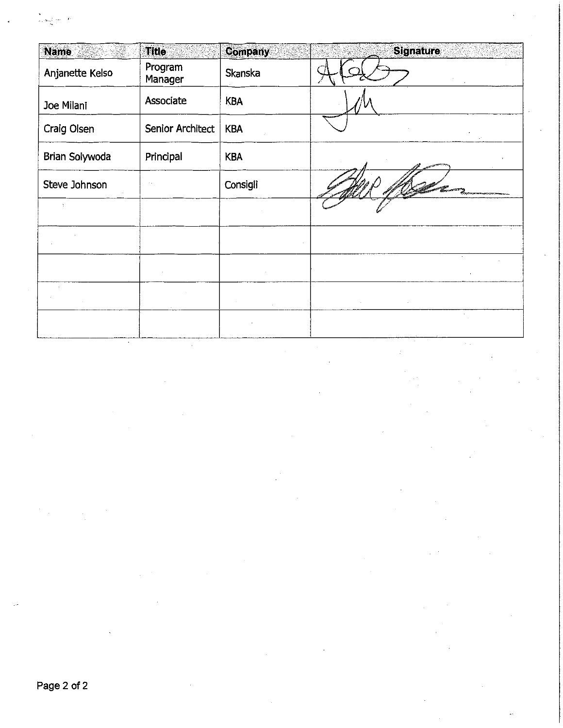|                  |    | -  |  |
|------------------|----|----|--|
| à.<br>a Lifton's | -- | j. |  |
| ņ.               |    |    |  |
|                  |    |    |  |

| <b>Name</b>     | <b>Title</b>       | <b>Company</b> | <b>Signature</b> |
|-----------------|--------------------|----------------|------------------|
| Anjanette Kelso | Program<br>Manager | Skanska        |                  |
| Joe Milani      | Associate          | <b>KBA</b>     |                  |
| Craig Olsen     | Senior Architect   | <b>KBA</b>     |                  |
| Brian Solywoda  | Principal          | <b>KBA</b>     |                  |
| Steve Johnson   |                    | Consigli       |                  |
|                 |                    |                |                  |
|                 |                    |                |                  |
|                 |                    |                |                  |
|                 |                    |                |                  |
|                 |                    |                |                  |